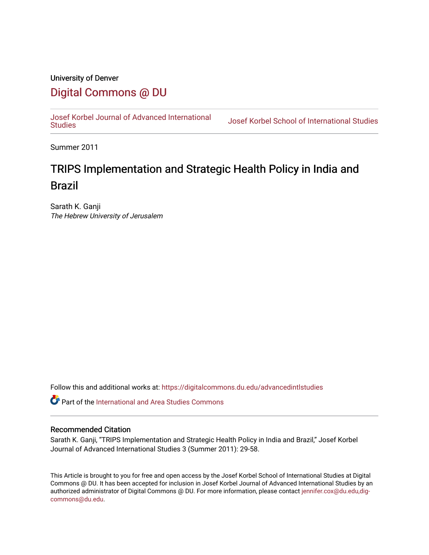### University of Denver [Digital Commons @ DU](https://digitalcommons.du.edu/)

[Josef Korbel Journal of Advanced International](https://digitalcommons.du.edu/advancedintlstudies) 

Josef Korbel School of International Studies

Summer 2011

## TRIPS Implementation and Strategic Health Policy in India and Brazil

Sarath K. Ganji The Hebrew University of Jerusalem

Follow this and additional works at: [https://digitalcommons.du.edu/advancedintlstudies](https://digitalcommons.du.edu/advancedintlstudies?utm_source=digitalcommons.du.edu%2Fadvancedintlstudies%2F12&utm_medium=PDF&utm_campaign=PDFCoverPages)

Part of the [International and Area Studies Commons](http://network.bepress.com/hgg/discipline/360?utm_source=digitalcommons.du.edu%2Fadvancedintlstudies%2F12&utm_medium=PDF&utm_campaign=PDFCoverPages) 

#### Recommended Citation

Sarath K. Ganji, "TRIPS Implementation and Strategic Health Policy in India and Brazil," Josef Korbel Journal of Advanced International Studies 3 (Summer 2011): 29-58.

This Article is brought to you for free and open access by the Josef Korbel School of International Studies at Digital Commons @ DU. It has been accepted for inclusion in Josef Korbel Journal of Advanced International Studies by an authorized administrator of Digital Commons @ DU. For more information, please contact [jennifer.cox@du.edu,dig](mailto:jennifer.cox@du.edu,dig-commons@du.edu)[commons@du.edu.](mailto:jennifer.cox@du.edu,dig-commons@du.edu)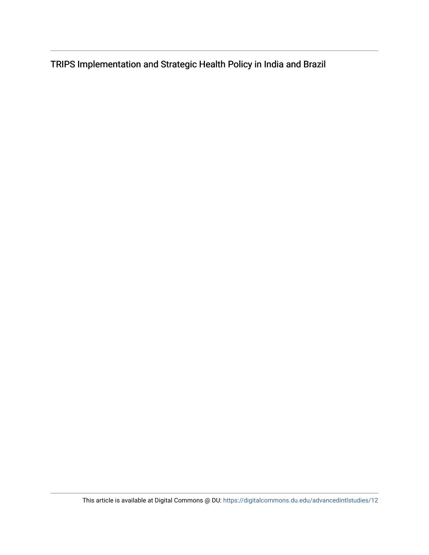TRIPS Implementation and Strategic Health Policy in India and Brazil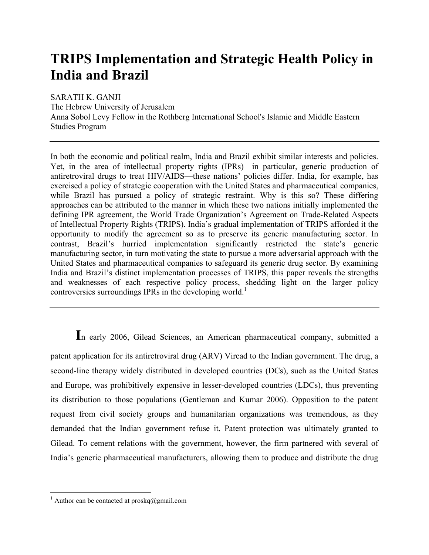# **TRIPS Implementation and Strategic Health Policy in India and Brazil**

SARATH K. GANJI

The Hebrew University of Jerusalem Anna Sobol Levy Fellow in the Rothberg International School's Islamic and Middle Eastern Studies Program

In both the economic and political realm, India and Brazil exhibit similar interests and policies. Yet, in the area of intellectual property rights (IPRs)—in particular, generic production of antiretroviral drugs to treat HIV/AIDS—these nations' policies differ. India, for example, has exercised a policy of strategic cooperation with the United States and pharmaceutical companies, while Brazil has pursued a policy of strategic restraint. Why is this so? These differing approaches can be attributed to the manner in which these two nations initially implemented the defining IPR agreement, the World Trade Organization's Agreement on Trade-Related Aspects of Intellectual Property Rights (TRIPS). India's gradual implementation of TRIPS afforded it the opportunity to modify the agreement so as to preserve its generic manufacturing sector. In contrast, Brazil's hurried implementation significantly restricted the state's generic manufacturing sector, in turn motivating the state to pursue a more adversarial approach with the United States and pharmaceutical companies to safeguard its generic drug sector. By examining India and Brazil's distinct implementation processes of TRIPS, this paper reveals the strengths and weaknesses of each respective policy process, shedding light on the larger policy controversies surroundings IPRs in the developing world.<sup>1</sup>

**I**n early 2006, Gilead Sciences, an American pharmaceutical company, submitted a patent application for its antiretroviral drug (ARV) Viread to the Indian government. The drug, a second-line therapy widely distributed in developed countries (DCs), such as the United States and Europe, was prohibitively expensive in lesser-developed countries (LDCs), thus preventing its distribution to those populations (Gentleman and Kumar 2006). Opposition to the patent request from civil society groups and humanitarian organizations was tremendous, as they demanded that the Indian government refuse it. Patent protection was ultimately granted to Gilead. To cement relations with the government, however, the firm partnered with several of India's generic pharmaceutical manufacturers, allowing them to produce and distribute the drug

 $\frac{1}{1}$ <sup>1</sup> Author can be contacted at proskq@gmail.com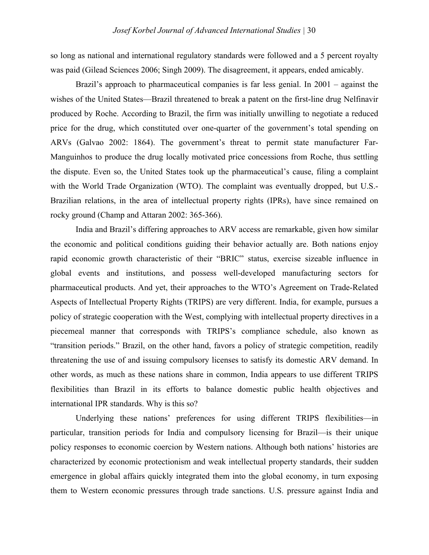so long as national and international regulatory standards were followed and a 5 percent royalty was paid (Gilead Sciences 2006; Singh 2009). The disagreement, it appears, ended amicably.

Brazil's approach to pharmaceutical companies is far less genial. In 2001 – against the wishes of the United States—Brazil threatened to break a patent on the first-line drug Nelfinavir produced by Roche. According to Brazil, the firm was initially unwilling to negotiate a reduced price for the drug, which constituted over one-quarter of the government's total spending on ARVs (Galvao 2002: 1864). The government's threat to permit state manufacturer Far-Manguinhos to produce the drug locally motivated price concessions from Roche, thus settling the dispute. Even so, the United States took up the pharmaceutical's cause, filing a complaint with the World Trade Organization (WTO). The complaint was eventually dropped, but U.S.-Brazilian relations, in the area of intellectual property rights (IPRs), have since remained on rocky ground (Champ and Attaran 2002: 365-366).

India and Brazil's differing approaches to ARV access are remarkable, given how similar the economic and political conditions guiding their behavior actually are. Both nations enjoy rapid economic growth characteristic of their "BRIC" status, exercise sizeable influence in global events and institutions, and possess well-developed manufacturing sectors for pharmaceutical products. And yet, their approaches to the WTO's Agreement on Trade-Related Aspects of Intellectual Property Rights (TRIPS) are very different. India, for example, pursues a policy of strategic cooperation with the West, complying with intellectual property directives in a piecemeal manner that corresponds with TRIPS's compliance schedule, also known as "transition periods." Brazil, on the other hand, favors a policy of strategic competition, readily threatening the use of and issuing compulsory licenses to satisfy its domestic ARV demand. In other words, as much as these nations share in common, India appears to use different TRIPS flexibilities than Brazil in its efforts to balance domestic public health objectives and international IPR standards. Why is this so?

Underlying these nations' preferences for using different TRIPS flexibilities—in particular, transition periods for India and compulsory licensing for Brazil—is their unique policy responses to economic coercion by Western nations. Although both nations' histories are characterized by economic protectionism and weak intellectual property standards, their sudden emergence in global affairs quickly integrated them into the global economy, in turn exposing them to Western economic pressures through trade sanctions. U.S. pressure against India and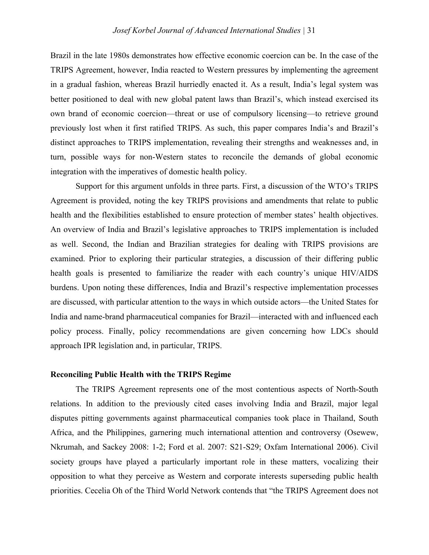Brazil in the late 1980s demonstrates how effective economic coercion can be. In the case of the TRIPS Agreement, however, India reacted to Western pressures by implementing the agreement in a gradual fashion, whereas Brazil hurriedly enacted it. As a result, India's legal system was better positioned to deal with new global patent laws than Brazil's, which instead exercised its own brand of economic coercion—threat or use of compulsory licensing—to retrieve ground previously lost when it first ratified TRIPS. As such, this paper compares India's and Brazil's distinct approaches to TRIPS implementation, revealing their strengths and weaknesses and, in turn, possible ways for non-Western states to reconcile the demands of global economic integration with the imperatives of domestic health policy.

Support for this argument unfolds in three parts. First, a discussion of the WTO's TRIPS Agreement is provided, noting the key TRIPS provisions and amendments that relate to public health and the flexibilities established to ensure protection of member states' health objectives. An overview of India and Brazil's legislative approaches to TRIPS implementation is included as well. Second, the Indian and Brazilian strategies for dealing with TRIPS provisions are examined. Prior to exploring their particular strategies, a discussion of their differing public health goals is presented to familiarize the reader with each country's unique HIV/AIDS burdens. Upon noting these differences, India and Brazil's respective implementation processes are discussed, with particular attention to the ways in which outside actors—the United States for India and name-brand pharmaceutical companies for Brazil—interacted with and influenced each policy process. Finally, policy recommendations are given concerning how LDCs should approach IPR legislation and, in particular, TRIPS.

#### **Reconciling Public Health with the TRIPS Regime**

The TRIPS Agreement represents one of the most contentious aspects of North-South relations. In addition to the previously cited cases involving India and Brazil, major legal disputes pitting governments against pharmaceutical companies took place in Thailand, South Africa, and the Philippines, garnering much international attention and controversy (Osewew, Nkrumah, and Sackey 2008: 1-2; Ford et al. 2007: S21-S29; Oxfam International 2006). Civil society groups have played a particularly important role in these matters, vocalizing their opposition to what they perceive as Western and corporate interests superseding public health priorities. Cecelia Oh of the Third World Network contends that "the TRIPS Agreement does not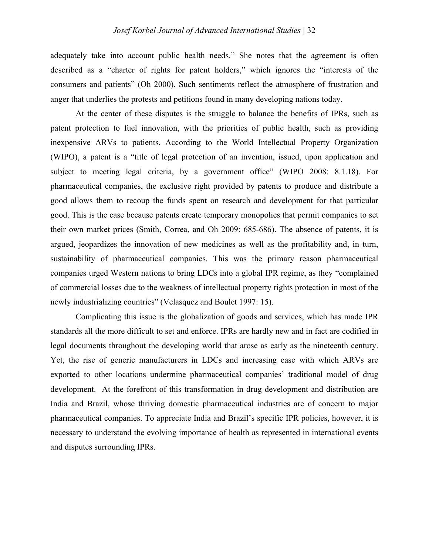adequately take into account public health needs." She notes that the agreement is often described as a "charter of rights for patent holders," which ignores the "interests of the consumers and patients" (Oh 2000). Such sentiments reflect the atmosphere of frustration and anger that underlies the protests and petitions found in many developing nations today.

At the center of these disputes is the struggle to balance the benefits of IPRs, such as patent protection to fuel innovation, with the priorities of public health, such as providing inexpensive ARVs to patients. According to the World Intellectual Property Organization (WIPO), a patent is a "title of legal protection of an invention, issued, upon application and subject to meeting legal criteria, by a government office" (WIPO 2008: 8.1.18). For pharmaceutical companies, the exclusive right provided by patents to produce and distribute a good allows them to recoup the funds spent on research and development for that particular good. This is the case because patents create temporary monopolies that permit companies to set their own market prices (Smith, Correa, and Oh 2009: 685-686). The absence of patents, it is argued, jeopardizes the innovation of new medicines as well as the profitability and, in turn, sustainability of pharmaceutical companies. This was the primary reason pharmaceutical companies urged Western nations to bring LDCs into a global IPR regime, as they "complained of commercial losses due to the weakness of intellectual property rights protection in most of the newly industrializing countries" (Velasquez and Boulet 1997: 15).

Complicating this issue is the globalization of goods and services, which has made IPR standards all the more difficult to set and enforce. IPRs are hardly new and in fact are codified in legal documents throughout the developing world that arose as early as the nineteenth century. Yet, the rise of generic manufacturers in LDCs and increasing ease with which ARVs are exported to other locations undermine pharmaceutical companies' traditional model of drug development. At the forefront of this transformation in drug development and distribution are India and Brazil, whose thriving domestic pharmaceutical industries are of concern to major pharmaceutical companies. To appreciate India and Brazil's specific IPR policies, however, it is necessary to understand the evolving importance of health as represented in international events and disputes surrounding IPRs.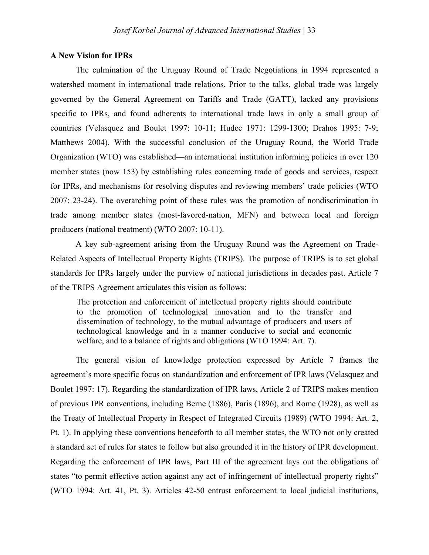#### **A New Vision for IPRs**

The culmination of the Uruguay Round of Trade Negotiations in 1994 represented a watershed moment in international trade relations. Prior to the talks, global trade was largely governed by the General Agreement on Tariffs and Trade (GATT), lacked any provisions specific to IPRs, and found adherents to international trade laws in only a small group of countries (Velasquez and Boulet 1997: 10-11; Hudec 1971: 1299-1300; Drahos 1995: 7-9; Matthews 2004). With the successful conclusion of the Uruguay Round, the World Trade Organization (WTO) was established—an international institution informing policies in over 120 member states (now 153) by establishing rules concerning trade of goods and services, respect for IPRs, and mechanisms for resolving disputes and reviewing members' trade policies (WTO 2007: 23-24). The overarching point of these rules was the promotion of nondiscrimination in trade among member states (most-favored-nation, MFN) and between local and foreign producers (national treatment) (WTO 2007: 10-11).

A key sub-agreement arising from the Uruguay Round was the Agreement on Trade-Related Aspects of Intellectual Property Rights (TRIPS). The purpose of TRIPS is to set global standards for IPRs largely under the purview of national jurisdictions in decades past. Article 7 of the TRIPS Agreement articulates this vision as follows:

The protection and enforcement of intellectual property rights should contribute to the promotion of technological innovation and to the transfer and dissemination of technology, to the mutual advantage of producers and users of technological knowledge and in a manner conducive to social and economic welfare, and to a balance of rights and obligations (WTO 1994: Art. 7).

The general vision of knowledge protection expressed by Article 7 frames the agreement's more specific focus on standardization and enforcement of IPR laws (Velasquez and Boulet 1997: 17). Regarding the standardization of IPR laws, Article 2 of TRIPS makes mention of previous IPR conventions, including Berne (1886), Paris (1896), and Rome (1928), as well as the Treaty of Intellectual Property in Respect of Integrated Circuits (1989) (WTO 1994: Art. 2, Pt. 1). In applying these conventions henceforth to all member states, the WTO not only created a standard set of rules for states to follow but also grounded it in the history of IPR development. Regarding the enforcement of IPR laws, Part III of the agreement lays out the obligations of states "to permit effective action against any act of infringement of intellectual property rights" (WTO 1994: Art. 41, Pt. 3). Articles 42-50 entrust enforcement to local judicial institutions,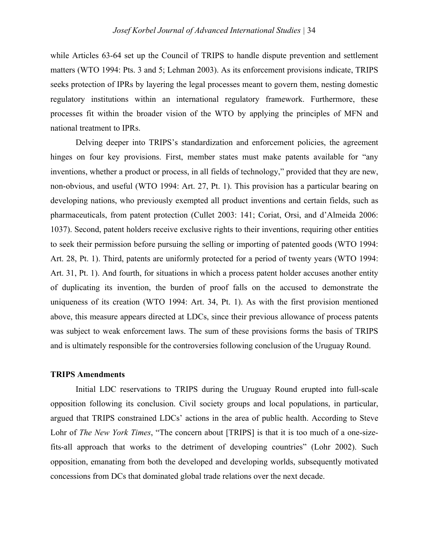while Articles 63-64 set up the Council of TRIPS to handle dispute prevention and settlement matters (WTO 1994: Pts. 3 and 5; Lehman 2003). As its enforcement provisions indicate, TRIPS seeks protection of IPRs by layering the legal processes meant to govern them, nesting domestic regulatory institutions within an international regulatory framework. Furthermore, these processes fit within the broader vision of the WTO by applying the principles of MFN and national treatment to IPRs.

Delving deeper into TRIPS's standardization and enforcement policies, the agreement hinges on four key provisions. First, member states must make patents available for "any inventions, whether a product or process, in all fields of technology," provided that they are new, non-obvious, and useful (WTO 1994: Art. 27, Pt. 1). This provision has a particular bearing on developing nations, who previously exempted all product inventions and certain fields, such as pharmaceuticals, from patent protection (Cullet 2003: 141; Coriat, Orsi, and d'Almeida 2006: 1037). Second, patent holders receive exclusive rights to their inventions, requiring other entities to seek their permission before pursuing the selling or importing of patented goods (WTO 1994: Art. 28, Pt. 1). Third, patents are uniformly protected for a period of twenty years (WTO 1994: Art. 31, Pt. 1). And fourth, for situations in which a process patent holder accuses another entity of duplicating its invention, the burden of proof falls on the accused to demonstrate the uniqueness of its creation (WTO 1994: Art. 34, Pt. 1). As with the first provision mentioned above, this measure appears directed at LDCs, since their previous allowance of process patents was subject to weak enforcement laws. The sum of these provisions forms the basis of TRIPS and is ultimately responsible for the controversies following conclusion of the Uruguay Round.

#### **TRIPS Amendments**

Initial LDC reservations to TRIPS during the Uruguay Round erupted into full-scale opposition following its conclusion. Civil society groups and local populations, in particular, argued that TRIPS constrained LDCs' actions in the area of public health. According to Steve Lohr of *The New York Times*, "The concern about [TRIPS] is that it is too much of a one-sizefits-all approach that works to the detriment of developing countries" (Lohr 2002). Such opposition, emanating from both the developed and developing worlds, subsequently motivated concessions from DCs that dominated global trade relations over the next decade.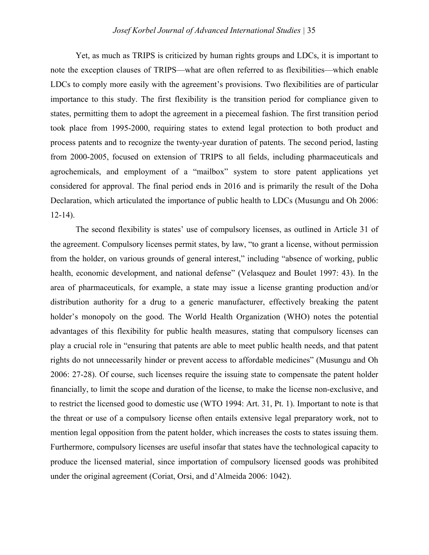Yet, as much as TRIPS is criticized by human rights groups and LDCs, it is important to note the exception clauses of TRIPS—what are often referred to as flexibilities—which enable LDCs to comply more easily with the agreement's provisions. Two flexibilities are of particular importance to this study. The first flexibility is the transition period for compliance given to states, permitting them to adopt the agreement in a piecemeal fashion. The first transition period took place from 1995-2000, requiring states to extend legal protection to both product and process patents and to recognize the twenty-year duration of patents. The second period, lasting from 2000-2005, focused on extension of TRIPS to all fields, including pharmaceuticals and agrochemicals, and employment of a "mailbox" system to store patent applications yet considered for approval. The final period ends in 2016 and is primarily the result of the Doha Declaration, which articulated the importance of public health to LDCs (Musungu and Oh 2006:  $12-14$ ).

The second flexibility is states' use of compulsory licenses, as outlined in Article 31 of the agreement. Compulsory licenses permit states, by law, "to grant a license, without permission from the holder, on various grounds of general interest," including "absence of working, public health, economic development, and national defense" (Velasquez and Boulet 1997: 43). In the area of pharmaceuticals, for example, a state may issue a license granting production and/or distribution authority for a drug to a generic manufacturer, effectively breaking the patent holder's monopoly on the good. The World Health Organization (WHO) notes the potential advantages of this flexibility for public health measures, stating that compulsory licenses can play a crucial role in "ensuring that patents are able to meet public health needs, and that patent rights do not unnecessarily hinder or prevent access to affordable medicines" (Musungu and Oh 2006: 27-28). Of course, such licenses require the issuing state to compensate the patent holder financially, to limit the scope and duration of the license, to make the license non-exclusive, and to restrict the licensed good to domestic use (WTO 1994: Art. 31, Pt. 1). Important to note is that the threat or use of a compulsory license often entails extensive legal preparatory work, not to mention legal opposition from the patent holder, which increases the costs to states issuing them. Furthermore, compulsory licenses are useful insofar that states have the technological capacity to produce the licensed material, since importation of compulsory licensed goods was prohibited under the original agreement (Coriat, Orsi, and d'Almeida 2006: 1042).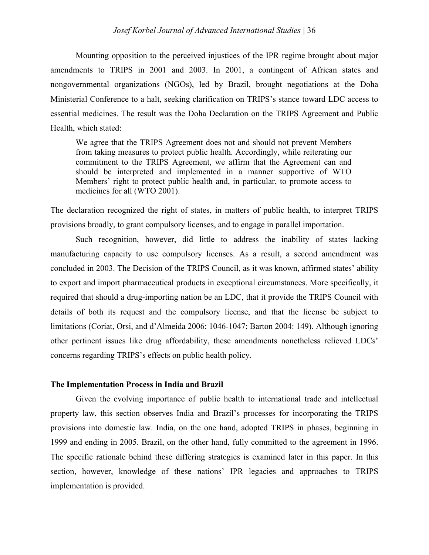Mounting opposition to the perceived injustices of the IPR regime brought about major amendments to TRIPS in 2001 and 2003. In 2001, a contingent of African states and nongovernmental organizations (NGOs), led by Brazil, brought negotiations at the Doha Ministerial Conference to a halt, seeking clarification on TRIPS's stance toward LDC access to essential medicines. The result was the Doha Declaration on the TRIPS Agreement and Public Health, which stated:

We agree that the TRIPS Agreement does not and should not prevent Members from taking measures to protect public health. Accordingly, while reiterating our commitment to the TRIPS Agreement, we affirm that the Agreement can and should be interpreted and implemented in a manner supportive of WTO Members' right to protect public health and, in particular, to promote access to medicines for all (WTO 2001).

The declaration recognized the right of states, in matters of public health, to interpret TRIPS provisions broadly, to grant compulsory licenses, and to engage in parallel importation.

Such recognition, however, did little to address the inability of states lacking manufacturing capacity to use compulsory licenses. As a result, a second amendment was concluded in 2003. The Decision of the TRIPS Council, as it was known, affirmed states' ability to export and import pharmaceutical products in exceptional circumstances. More specifically, it required that should a drug-importing nation be an LDC, that it provide the TRIPS Council with details of both its request and the compulsory license, and that the license be subject to limitations (Coriat, Orsi, and d'Almeida 2006: 1046-1047; Barton 2004: 149). Although ignoring other pertinent issues like drug affordability, these amendments nonetheless relieved LDCs' concerns regarding TRIPS's effects on public health policy.

#### **The Implementation Process in India and Brazil**

Given the evolving importance of public health to international trade and intellectual property law, this section observes India and Brazil's processes for incorporating the TRIPS provisions into domestic law. India, on the one hand, adopted TRIPS in phases, beginning in 1999 and ending in 2005. Brazil, on the other hand, fully committed to the agreement in 1996. The specific rationale behind these differing strategies is examined later in this paper. In this section, however, knowledge of these nations' IPR legacies and approaches to TRIPS implementation is provided.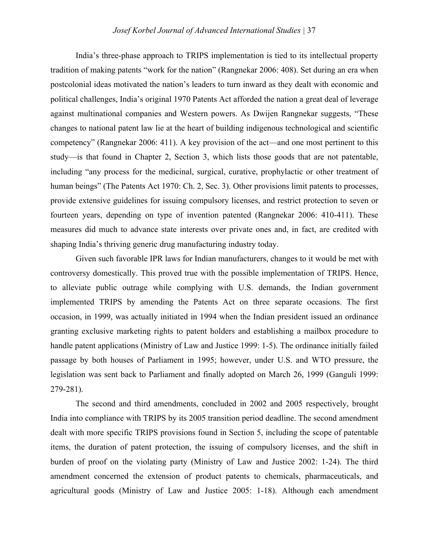India's three-phase approach to TRIPS implementation is tied to its intellectual property tradition of making patents "work for the nation" (Rangnekar 2006: 408). Set during an era when postcolonial ideas motivated the nation's leaders to turn inward as they dealt with economic and political challenges, India's original 1970 Patents Act afforded the nation a great deal of leverage against multinational companies and Western powers. As Dwijen Rangnekar suggests, "These changes to national patent law lie at the heart of building indigenous technological and scientific competency" (Rangnekar 2006: 411). A key provision of the act—and one most pertinent to this study—is that found in Chapter 2, Section 3, which lists those goods that are not patentable, including "any process for the medicinal, surgical, curative, prophylactic or other treatment of human beings" (The Patents Act 1970: Ch. 2, Sec. 3). Other provisions limit patents to processes, provide extensive guidelines for issuing compulsory licenses, and restrict protection to seven or fourteen years, depending on type of invention patented (Rangnekar 2006: 410-411). These measures did much to advance state interests over private ones and, in fact, are credited with shaping India's thriving generic drug manufacturing industry today.

Given such favorable IPR laws for Indian manufacturers, changes to it would be met with controversy domestically. This proved true with the possible implementation of TRIPS. Hence, to alleviate public outrage while complying with U.S. demands, the Indian government implemented TRIPS by amending the Patents Act on three separate occasions. The first occasion, in 1999, was actually initiated in 1994 when the Indian president issued an ordinance granting exclusive marketing rights to patent holders and establishing a mailbox procedure to handle patent applications (Ministry of Law and Justice 1999: 1-5). The ordinance initially failed passage by both houses of Parliament in 1995; however, under U.S. and WTO pressure, the legislation was sent back to Parliament and finally adopted on March 26, 1999 (Ganguli 1999: 279-281).

The second and third amendments, concluded in 2002 and 2005 respectively, brought India into compliance with TRIPS by its 2005 transition period deadline. The second amendment dealt with more specific TRIPS provisions found in Section 5, including the scope of patentable items, the duration of patent protection, the issuing of compulsory licenses, and the shift in burden of proof on the violating party (Ministry of Law and Justice 2002: 1-24). The third amendment concerned the extension of product patents to chemicals, pharmaceuticals, and agricultural goods (Ministry of Law and Justice 2005: 1-18). Although each amendment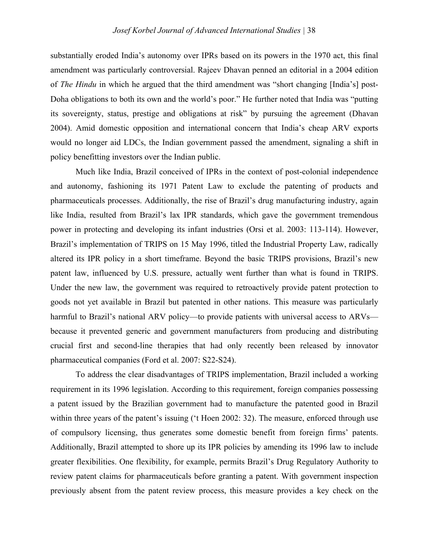substantially eroded India's autonomy over IPRs based on its powers in the 1970 act, this final amendment was particularly controversial. Rajeev Dhavan penned an editorial in a 2004 edition of *The Hindu* in which he argued that the third amendment was "short changing [India's] post-Doha obligations to both its own and the world's poor." He further noted that India was "putting its sovereignty, status, prestige and obligations at risk" by pursuing the agreement (Dhavan 2004). Amid domestic opposition and international concern that India's cheap ARV exports would no longer aid LDCs, the Indian government passed the amendment, signaling a shift in policy benefitting investors over the Indian public.

Much like India, Brazil conceived of IPRs in the context of post-colonial independence and autonomy, fashioning its 1971 Patent Law to exclude the patenting of products and pharmaceuticals processes. Additionally, the rise of Brazil's drug manufacturing industry, again like India, resulted from Brazil's lax IPR standards, which gave the government tremendous power in protecting and developing its infant industries (Orsi et al. 2003: 113-114). However, Brazil's implementation of TRIPS on 15 May 1996, titled the Industrial Property Law, radically altered its IPR policy in a short timeframe. Beyond the basic TRIPS provisions, Brazil's new patent law, influenced by U.S. pressure, actually went further than what is found in TRIPS. Under the new law, the government was required to retroactively provide patent protection to goods not yet available in Brazil but patented in other nations. This measure was particularly harmful to Brazil's national ARV policy—to provide patients with universal access to ARVs because it prevented generic and government manufacturers from producing and distributing crucial first and second-line therapies that had only recently been released by innovator pharmaceutical companies (Ford et al. 2007: S22-S24).

To address the clear disadvantages of TRIPS implementation, Brazil included a working requirement in its 1996 legislation. According to this requirement, foreign companies possessing a patent issued by the Brazilian government had to manufacture the patented good in Brazil within three years of the patent's issuing ('t Hoen 2002: 32). The measure, enforced through use of compulsory licensing, thus generates some domestic benefit from foreign firms' patents. Additionally, Brazil attempted to shore up its IPR policies by amending its 1996 law to include greater flexibilities. One flexibility, for example, permits Brazil's Drug Regulatory Authority to review patent claims for pharmaceuticals before granting a patent. With government inspection previously absent from the patent review process, this measure provides a key check on the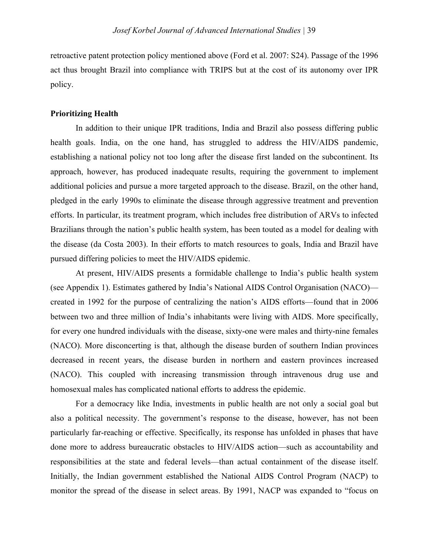retroactive patent protection policy mentioned above (Ford et al. 2007: S24). Passage of the 1996 act thus brought Brazil into compliance with TRIPS but at the cost of its autonomy over IPR policy.

#### **Prioritizing Health**

In addition to their unique IPR traditions, India and Brazil also possess differing public health goals. India, on the one hand, has struggled to address the HIV/AIDS pandemic, establishing a national policy not too long after the disease first landed on the subcontinent. Its approach, however, has produced inadequate results, requiring the government to implement additional policies and pursue a more targeted approach to the disease. Brazil, on the other hand, pledged in the early 1990s to eliminate the disease through aggressive treatment and prevention efforts. In particular, its treatment program, which includes free distribution of ARVs to infected Brazilians through the nation's public health system, has been touted as a model for dealing with the disease (da Costa 2003). In their efforts to match resources to goals, India and Brazil have pursued differing policies to meet the HIV/AIDS epidemic.

At present, HIV/AIDS presents a formidable challenge to India's public health system (see Appendix 1). Estimates gathered by India's National AIDS Control Organisation (NACO) created in 1992 for the purpose of centralizing the nation's AIDS efforts—found that in 2006 between two and three million of India's inhabitants were living with AIDS. More specifically, for every one hundred individuals with the disease, sixty-one were males and thirty-nine females (NACO). More disconcerting is that, although the disease burden of southern Indian provinces decreased in recent years, the disease burden in northern and eastern provinces increased (NACO). This coupled with increasing transmission through intravenous drug use and homosexual males has complicated national efforts to address the epidemic.

For a democracy like India, investments in public health are not only a social goal but also a political necessity. The government's response to the disease, however, has not been particularly far-reaching or effective. Specifically, its response has unfolded in phases that have done more to address bureaucratic obstacles to HIV/AIDS action—such as accountability and responsibilities at the state and federal levels—than actual containment of the disease itself. Initially, the Indian government established the National AIDS Control Program (NACP) to monitor the spread of the disease in select areas. By 1991, NACP was expanded to "focus on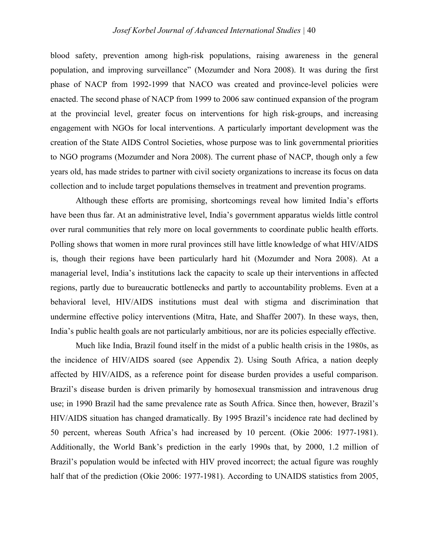blood safety, prevention among high-risk populations, raising awareness in the general population, and improving surveillance" (Mozumder and Nora 2008). It was during the first phase of NACP from 1992-1999 that NACO was created and province-level policies were enacted. The second phase of NACP from 1999 to 2006 saw continued expansion of the program at the provincial level, greater focus on interventions for high risk-groups, and increasing engagement with NGOs for local interventions. A particularly important development was the creation of the State AIDS Control Societies, whose purpose was to link governmental priorities to NGO programs (Mozumder and Nora 2008). The current phase of NACP, though only a few years old, has made strides to partner with civil society organizations to increase its focus on data collection and to include target populations themselves in treatment and prevention programs.

Although these efforts are promising, shortcomings reveal how limited India's efforts have been thus far. At an administrative level, India's government apparatus wields little control over rural communities that rely more on local governments to coordinate public health efforts. Polling shows that women in more rural provinces still have little knowledge of what HIV/AIDS is, though their regions have been particularly hard hit (Mozumder and Nora 2008). At a managerial level, India's institutions lack the capacity to scale up their interventions in affected regions, partly due to bureaucratic bottlenecks and partly to accountability problems. Even at a behavioral level, HIV/AIDS institutions must deal with stigma and discrimination that undermine effective policy interventions (Mitra, Hate, and Shaffer 2007). In these ways, then, India's public health goals are not particularly ambitious, nor are its policies especially effective.

Much like India, Brazil found itself in the midst of a public health crisis in the 1980s, as the incidence of HIV/AIDS soared (see Appendix 2). Using South Africa, a nation deeply affected by HIV/AIDS, as a reference point for disease burden provides a useful comparison. Brazil's disease burden is driven primarily by homosexual transmission and intravenous drug use; in 1990 Brazil had the same prevalence rate as South Africa. Since then, however, Brazil's HIV/AIDS situation has changed dramatically. By 1995 Brazil's incidence rate had declined by 50 percent, whereas South Africa's had increased by 10 percent. (Okie 2006: 1977-1981). Additionally, the World Bank's prediction in the early 1990s that, by 2000, 1.2 million of Brazil's population would be infected with HIV proved incorrect; the actual figure was roughly half that of the prediction (Okie 2006: 1977-1981). According to UNAIDS statistics from 2005,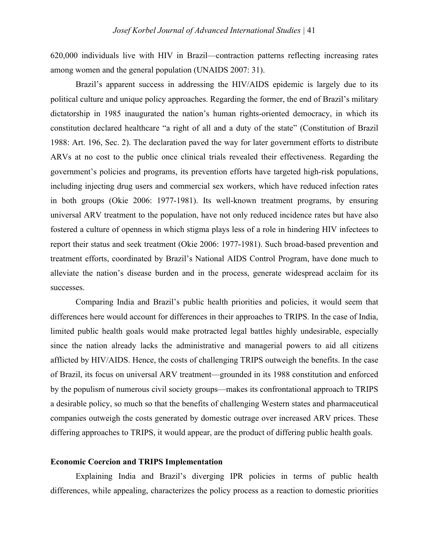620,000 individuals live with HIV in Brazil—contraction patterns reflecting increasing rates among women and the general population (UNAIDS 2007: 31).

Brazil's apparent success in addressing the HIV/AIDS epidemic is largely due to its political culture and unique policy approaches. Regarding the former, the end of Brazil's military dictatorship in 1985 inaugurated the nation's human rights-oriented democracy, in which its constitution declared healthcare "a right of all and a duty of the state" (Constitution of Brazil 1988: Art. 196, Sec. 2). The declaration paved the way for later government efforts to distribute ARVs at no cost to the public once clinical trials revealed their effectiveness. Regarding the government's policies and programs, its prevention efforts have targeted high-risk populations, including injecting drug users and commercial sex workers, which have reduced infection rates in both groups (Okie 2006: 1977-1981). Its well-known treatment programs, by ensuring universal ARV treatment to the population, have not only reduced incidence rates but have also fostered a culture of openness in which stigma plays less of a role in hindering HIV infectees to report their status and seek treatment (Okie 2006: 1977-1981). Such broad-based prevention and treatment efforts, coordinated by Brazil's National AIDS Control Program, have done much to alleviate the nation's disease burden and in the process, generate widespread acclaim for its successes.

Comparing India and Brazil's public health priorities and policies, it would seem that differences here would account for differences in their approaches to TRIPS. In the case of India, limited public health goals would make protracted legal battles highly undesirable, especially since the nation already lacks the administrative and managerial powers to aid all citizens afflicted by HIV/AIDS. Hence, the costs of challenging TRIPS outweigh the benefits. In the case of Brazil, its focus on universal ARV treatment—grounded in its 1988 constitution and enforced by the populism of numerous civil society groups—makes its confrontational approach to TRIPS a desirable policy, so much so that the benefits of challenging Western states and pharmaceutical companies outweigh the costs generated by domestic outrage over increased ARV prices. These differing approaches to TRIPS, it would appear, are the product of differing public health goals.

#### **Economic Coercion and TRIPS Implementation**

Explaining India and Brazil's diverging IPR policies in terms of public health differences, while appealing, characterizes the policy process as a reaction to domestic priorities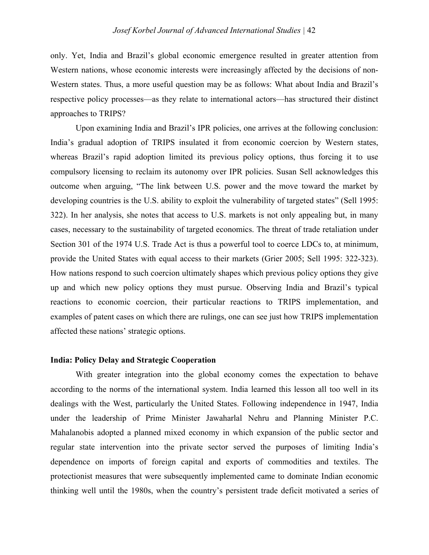only. Yet, India and Brazil's global economic emergence resulted in greater attention from Western nations, whose economic interests were increasingly affected by the decisions of non-Western states. Thus, a more useful question may be as follows: What about India and Brazil's respective policy processes—as they relate to international actors—has structured their distinct approaches to TRIPS?

Upon examining India and Brazil's IPR policies, one arrives at the following conclusion: India's gradual adoption of TRIPS insulated it from economic coercion by Western states, whereas Brazil's rapid adoption limited its previous policy options, thus forcing it to use compulsory licensing to reclaim its autonomy over IPR policies. Susan Sell acknowledges this outcome when arguing, "The link between U.S. power and the move toward the market by developing countries is the U.S. ability to exploit the vulnerability of targeted states" (Sell 1995: 322). In her analysis, she notes that access to U.S. markets is not only appealing but, in many cases, necessary to the sustainability of targeted economics. The threat of trade retaliation under Section 301 of the 1974 U.S. Trade Act is thus a powerful tool to coerce LDCs to, at minimum, provide the United States with equal access to their markets (Grier 2005; Sell 1995: 322-323). How nations respond to such coercion ultimately shapes which previous policy options they give up and which new policy options they must pursue. Observing India and Brazil's typical reactions to economic coercion, their particular reactions to TRIPS implementation, and examples of patent cases on which there are rulings, one can see just how TRIPS implementation affected these nations' strategic options.

#### **India: Policy Delay and Strategic Cooperation**

With greater integration into the global economy comes the expectation to behave according to the norms of the international system. India learned this lesson all too well in its dealings with the West, particularly the United States. Following independence in 1947, India under the leadership of Prime Minister Jawaharlal Nehru and Planning Minister P.C. Mahalanobis adopted a planned mixed economy in which expansion of the public sector and regular state intervention into the private sector served the purposes of limiting India's dependence on imports of foreign capital and exports of commodities and textiles. The protectionist measures that were subsequently implemented came to dominate Indian economic thinking well until the 1980s, when the country's persistent trade deficit motivated a series of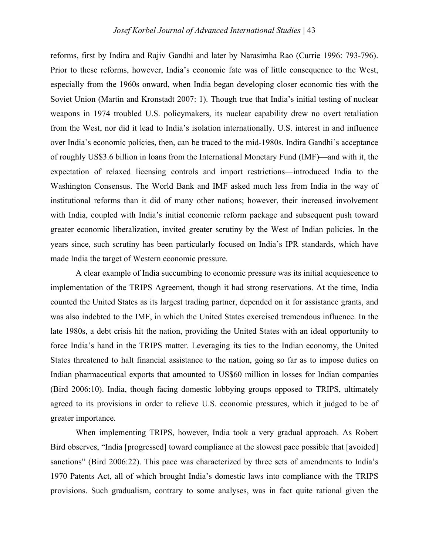reforms, first by Indira and Rajiv Gandhi and later by Narasimha Rao (Currie 1996: 793-796). Prior to these reforms, however, India's economic fate was of little consequence to the West, especially from the 1960s onward, when India began developing closer economic ties with the Soviet Union (Martin and Kronstadt 2007: 1). Though true that India's initial testing of nuclear weapons in 1974 troubled U.S. policymakers, its nuclear capability drew no overt retaliation from the West, nor did it lead to India's isolation internationally. U.S. interest in and influence over India's economic policies, then, can be traced to the mid-1980s. Indira Gandhi's acceptance of roughly US\$3.6 billion in loans from the International Monetary Fund (IMF)—and with it, the expectation of relaxed licensing controls and import restrictions—introduced India to the Washington Consensus. The World Bank and IMF asked much less from India in the way of institutional reforms than it did of many other nations; however, their increased involvement with India, coupled with India's initial economic reform package and subsequent push toward greater economic liberalization, invited greater scrutiny by the West of Indian policies. In the years since, such scrutiny has been particularly focused on India's IPR standards, which have made India the target of Western economic pressure.

A clear example of India succumbing to economic pressure was its initial acquiescence to implementation of the TRIPS Agreement, though it had strong reservations. At the time, India counted the United States as its largest trading partner, depended on it for assistance grants, and was also indebted to the IMF, in which the United States exercised tremendous influence. In the late 1980s, a debt crisis hit the nation, providing the United States with an ideal opportunity to force India's hand in the TRIPS matter. Leveraging its ties to the Indian economy, the United States threatened to halt financial assistance to the nation, going so far as to impose duties on Indian pharmaceutical exports that amounted to US\$60 million in losses for Indian companies (Bird 2006:10). India, though facing domestic lobbying groups opposed to TRIPS, ultimately agreed to its provisions in order to relieve U.S. economic pressures, which it judged to be of greater importance.

When implementing TRIPS, however, India took a very gradual approach. As Robert Bird observes, "India [progressed] toward compliance at the slowest pace possible that [avoided] sanctions" (Bird 2006:22). This pace was characterized by three sets of amendments to India's 1970 Patents Act, all of which brought India's domestic laws into compliance with the TRIPS provisions. Such gradualism, contrary to some analyses, was in fact quite rational given the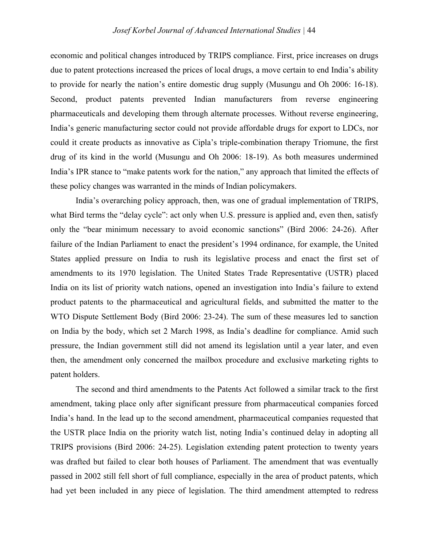economic and political changes introduced by TRIPS compliance. First, price increases on drugs due to patent protections increased the prices of local drugs, a move certain to end India's ability to provide for nearly the nation's entire domestic drug supply (Musungu and Oh 2006: 16-18). Second, product patents prevented Indian manufacturers from reverse engineering pharmaceuticals and developing them through alternate processes. Without reverse engineering, India's generic manufacturing sector could not provide affordable drugs for export to LDCs, nor could it create products as innovative as Cipla's triple-combination therapy Triomune, the first drug of its kind in the world (Musungu and Oh 2006: 18-19). As both measures undermined India's IPR stance to "make patents work for the nation," any approach that limited the effects of these policy changes was warranted in the minds of Indian policymakers.

India's overarching policy approach, then, was one of gradual implementation of TRIPS, what Bird terms the "delay cycle": act only when U.S. pressure is applied and, even then, satisfy only the "bear minimum necessary to avoid economic sanctions" (Bird 2006: 24-26). After failure of the Indian Parliament to enact the president's 1994 ordinance, for example, the United States applied pressure on India to rush its legislative process and enact the first set of amendments to its 1970 legislation. The United States Trade Representative (USTR) placed India on its list of priority watch nations, opened an investigation into India's failure to extend product patents to the pharmaceutical and agricultural fields, and submitted the matter to the WTO Dispute Settlement Body (Bird 2006: 23-24). The sum of these measures led to sanction on India by the body, which set 2 March 1998, as India's deadline for compliance. Amid such pressure, the Indian government still did not amend its legislation until a year later, and even then, the amendment only concerned the mailbox procedure and exclusive marketing rights to patent holders.

The second and third amendments to the Patents Act followed a similar track to the first amendment, taking place only after significant pressure from pharmaceutical companies forced India's hand. In the lead up to the second amendment, pharmaceutical companies requested that the USTR place India on the priority watch list, noting India's continued delay in adopting all TRIPS provisions (Bird 2006: 24-25). Legislation extending patent protection to twenty years was drafted but failed to clear both houses of Parliament. The amendment that was eventually passed in 2002 still fell short of full compliance, especially in the area of product patents, which had yet been included in any piece of legislation. The third amendment attempted to redress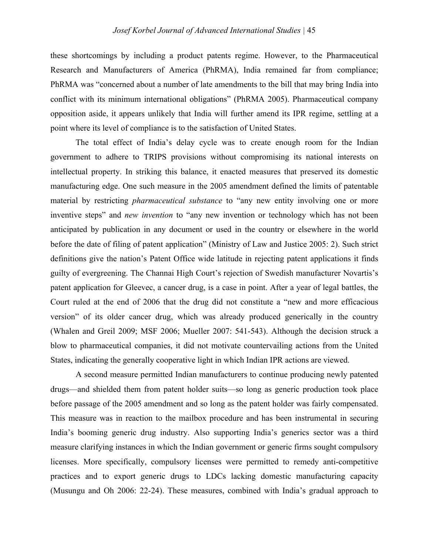these shortcomings by including a product patents regime. However, to the Pharmaceutical Research and Manufacturers of America (PhRMA), India remained far from compliance; PhRMA was "concerned about a number of late amendments to the bill that may bring India into conflict with its minimum international obligations" (PhRMA 2005). Pharmaceutical company opposition aside, it appears unlikely that India will further amend its IPR regime, settling at a point where its level of compliance is to the satisfaction of United States.

The total effect of India's delay cycle was to create enough room for the Indian government to adhere to TRIPS provisions without compromising its national interests on intellectual property. In striking this balance, it enacted measures that preserved its domestic manufacturing edge. One such measure in the 2005 amendment defined the limits of patentable material by restricting *pharmaceutical substance* to "any new entity involving one or more inventive steps" and *new invention* to "any new invention or technology which has not been anticipated by publication in any document or used in the country or elsewhere in the world before the date of filing of patent application" (Ministry of Law and Justice 2005: 2). Such strict definitions give the nation's Patent Office wide latitude in rejecting patent applications it finds guilty of evergreening. The Channai High Court's rejection of Swedish manufacturer Novartis's patent application for Gleevec, a cancer drug, is a case in point. After a year of legal battles, the Court ruled at the end of 2006 that the drug did not constitute a "new and more efficacious version" of its older cancer drug, which was already produced generically in the country (Whalen and Greil 2009; MSF 2006; Mueller 2007: 541-543). Although the decision struck a blow to pharmaceutical companies, it did not motivate countervailing actions from the United States, indicating the generally cooperative light in which Indian IPR actions are viewed.

A second measure permitted Indian manufacturers to continue producing newly patented drugs—and shielded them from patent holder suits—so long as generic production took place before passage of the 2005 amendment and so long as the patent holder was fairly compensated. This measure was in reaction to the mailbox procedure and has been instrumental in securing India's booming generic drug industry. Also supporting India's generics sector was a third measure clarifying instances in which the Indian government or generic firms sought compulsory licenses. More specifically, compulsory licenses were permitted to remedy anti-competitive practices and to export generic drugs to LDCs lacking domestic manufacturing capacity (Musungu and Oh 2006: 22-24). These measures, combined with India's gradual approach to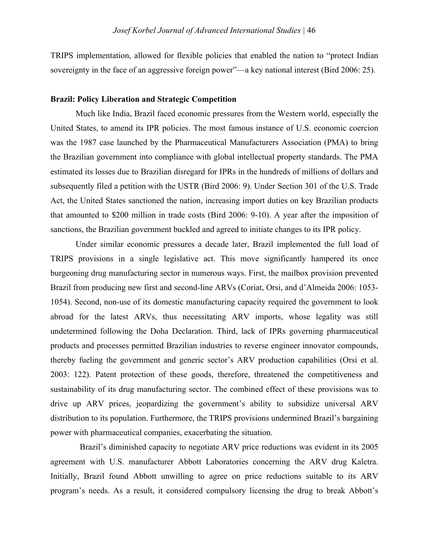TRIPS implementation, allowed for flexible policies that enabled the nation to "protect Indian sovereignty in the face of an aggressive foreign power"—a key national interest (Bird 2006: 25).

#### **Brazil: Policy Liberation and Strategic Competition**

Much like India, Brazil faced economic pressures from the Western world, especially the United States, to amend its IPR policies. The most famous instance of U.S. economic coercion was the 1987 case launched by the Pharmaceutical Manufacturers Association (PMA) to bring the Brazilian government into compliance with global intellectual property standards. The PMA estimated its losses due to Brazilian disregard for IPRs in the hundreds of millions of dollars and subsequently filed a petition with the USTR (Bird 2006: 9). Under Section 301 of the U.S. Trade Act, the United States sanctioned the nation, increasing import duties on key Brazilian products that amounted to \$200 million in trade costs (Bird 2006: 9-10). A year after the imposition of sanctions, the Brazilian government buckled and agreed to initiate changes to its IPR policy.

Under similar economic pressures a decade later, Brazil implemented the full load of TRIPS provisions in a single legislative act. This move significantly hampered its once burgeoning drug manufacturing sector in numerous ways. First, the mailbox provision prevented Brazil from producing new first and second-line ARVs (Coriat, Orsi, and d'Almeida 2006: 1053- 1054). Second, non-use of its domestic manufacturing capacity required the government to look abroad for the latest ARVs, thus necessitating ARV imports, whose legality was still undetermined following the Doha Declaration. Third, lack of IPRs governing pharmaceutical products and processes permitted Brazilian industries to reverse engineer innovator compounds, thereby fueling the government and generic sector's ARV production capabilities (Orsi et al. 2003: 122). Patent protection of these goods, therefore, threatened the competitiveness and sustainability of its drug manufacturing sector. The combined effect of these provisions was to drive up ARV prices, jeopardizing the government's ability to subsidize universal ARV distribution to its population. Furthermore, the TRIPS provisions undermined Brazil's bargaining power with pharmaceutical companies, exacerbating the situation.

 Brazil's diminished capacity to negotiate ARV price reductions was evident in its 2005 agreement with U.S. manufacturer Abbott Laboratories concerning the ARV drug Kaletra. Initially, Brazil found Abbott unwilling to agree on price reductions suitable to its ARV program's needs. As a result, it considered compulsory licensing the drug to break Abbott's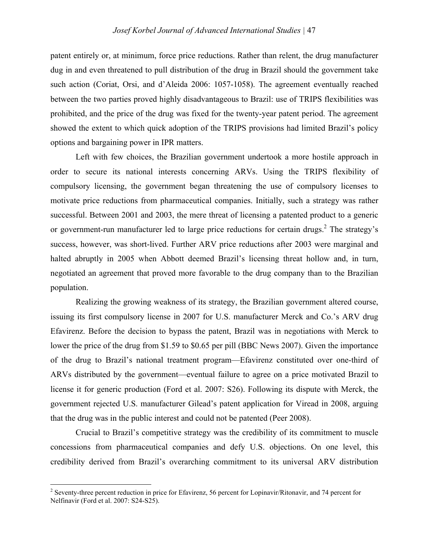patent entirely or, at minimum, force price reductions. Rather than relent, the drug manufacturer dug in and even threatened to pull distribution of the drug in Brazil should the government take such action (Coriat, Orsi, and d'Aleida 2006: 1057-1058). The agreement eventually reached between the two parties proved highly disadvantageous to Brazil: use of TRIPS flexibilities was prohibited, and the price of the drug was fixed for the twenty-year patent period. The agreement showed the extent to which quick adoption of the TRIPS provisions had limited Brazil's policy options and bargaining power in IPR matters.

Left with few choices, the Brazilian government undertook a more hostile approach in order to secure its national interests concerning ARVs. Using the TRIPS flexibility of compulsory licensing, the government began threatening the use of compulsory licenses to motivate price reductions from pharmaceutical companies. Initially, such a strategy was rather successful. Between 2001 and 2003, the mere threat of licensing a patented product to a generic or government-run manufacturer led to large price reductions for certain drugs.<sup>2</sup> The strategy's success, however, was short-lived. Further ARV price reductions after 2003 were marginal and halted abruptly in 2005 when Abbott deemed Brazil's licensing threat hollow and, in turn, negotiated an agreement that proved more favorable to the drug company than to the Brazilian population.

Realizing the growing weakness of its strategy, the Brazilian government altered course, issuing its first compulsory license in 2007 for U.S. manufacturer Merck and Co.'s ARV drug Efavirenz. Before the decision to bypass the patent, Brazil was in negotiations with Merck to lower the price of the drug from \$1.59 to \$0.65 per pill (BBC News 2007). Given the importance of the drug to Brazil's national treatment program—Efavirenz constituted over one-third of ARVs distributed by the government—eventual failure to agree on a price motivated Brazil to license it for generic production (Ford et al. 2007: S26). Following its dispute with Merck, the government rejected U.S. manufacturer Gilead's patent application for Viread in 2008, arguing that the drug was in the public interest and could not be patented (Peer 2008).

Crucial to Brazil's competitive strategy was the credibility of its commitment to muscle concessions from pharmaceutical companies and defy U.S. objections. On one level, this credibility derived from Brazil's overarching commitment to its universal ARV distribution

 $\frac{1}{2}$ <sup>2</sup> Seventy-three percent reduction in price for Efavirenz, 56 percent for Lopinavir/Ritonavir, and 74 percent for Nelfinavir (Ford et al. 2007: S24-S25).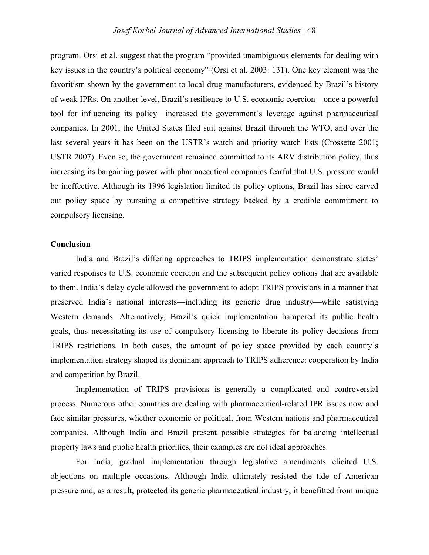program. Orsi et al. suggest that the program "provided unambiguous elements for dealing with key issues in the country's political economy" (Orsi et al. 2003: 131). One key element was the favoritism shown by the government to local drug manufacturers, evidenced by Brazil's history of weak IPRs. On another level, Brazil's resilience to U.S. economic coercion—once a powerful tool for influencing its policy—increased the government's leverage against pharmaceutical companies. In 2001, the United States filed suit against Brazil through the WTO, and over the last several years it has been on the USTR's watch and priority watch lists (Crossette 2001; USTR 2007). Even so, the government remained committed to its ARV distribution policy, thus increasing its bargaining power with pharmaceutical companies fearful that U.S. pressure would be ineffective. Although its 1996 legislation limited its policy options, Brazil has since carved out policy space by pursuing a competitive strategy backed by a credible commitment to compulsory licensing.

#### **Conclusion**

India and Brazil's differing approaches to TRIPS implementation demonstrate states' varied responses to U.S. economic coercion and the subsequent policy options that are available to them. India's delay cycle allowed the government to adopt TRIPS provisions in a manner that preserved India's national interests—including its generic drug industry—while satisfying Western demands. Alternatively, Brazil's quick implementation hampered its public health goals, thus necessitating its use of compulsory licensing to liberate its policy decisions from TRIPS restrictions. In both cases, the amount of policy space provided by each country's implementation strategy shaped its dominant approach to TRIPS adherence: cooperation by India and competition by Brazil.

Implementation of TRIPS provisions is generally a complicated and controversial process. Numerous other countries are dealing with pharmaceutical-related IPR issues now and face similar pressures, whether economic or political, from Western nations and pharmaceutical companies. Although India and Brazil present possible strategies for balancing intellectual property laws and public health priorities, their examples are not ideal approaches.

For India, gradual implementation through legislative amendments elicited U.S. objections on multiple occasions. Although India ultimately resisted the tide of American pressure and, as a result, protected its generic pharmaceutical industry, it benefitted from unique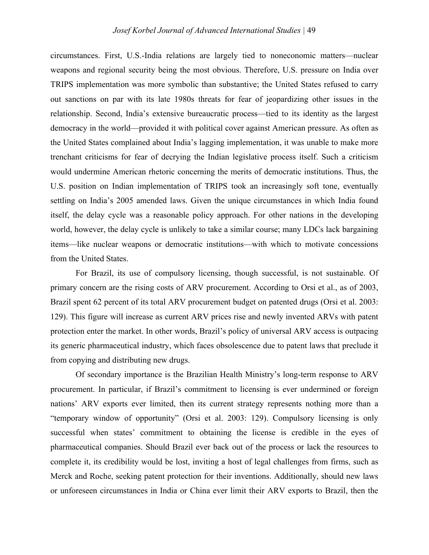circumstances. First, U.S.-India relations are largely tied to noneconomic matters—nuclear weapons and regional security being the most obvious. Therefore, U.S. pressure on India over TRIPS implementation was more symbolic than substantive; the United States refused to carry out sanctions on par with its late 1980s threats for fear of jeopardizing other issues in the relationship. Second, India's extensive bureaucratic process—tied to its identity as the largest democracy in the world—provided it with political cover against American pressure. As often as the United States complained about India's lagging implementation, it was unable to make more trenchant criticisms for fear of decrying the Indian legislative process itself. Such a criticism would undermine American rhetoric concerning the merits of democratic institutions. Thus, the U.S. position on Indian implementation of TRIPS took an increasingly soft tone, eventually settling on India's 2005 amended laws. Given the unique circumstances in which India found itself, the delay cycle was a reasonable policy approach. For other nations in the developing world, however, the delay cycle is unlikely to take a similar course; many LDCs lack bargaining items—like nuclear weapons or democratic institutions—with which to motivate concessions from the United States.

For Brazil, its use of compulsory licensing, though successful, is not sustainable. Of primary concern are the rising costs of ARV procurement. According to Orsi et al., as of 2003, Brazil spent 62 percent of its total ARV procurement budget on patented drugs (Orsi et al. 2003: 129). This figure will increase as current ARV prices rise and newly invented ARVs with patent protection enter the market. In other words, Brazil's policy of universal ARV access is outpacing its generic pharmaceutical industry, which faces obsolescence due to patent laws that preclude it from copying and distributing new drugs.

Of secondary importance is the Brazilian Health Ministry's long-term response to ARV procurement. In particular, if Brazil's commitment to licensing is ever undermined or foreign nations' ARV exports ever limited, then its current strategy represents nothing more than a "temporary window of opportunity" (Orsi et al. 2003: 129). Compulsory licensing is only successful when states' commitment to obtaining the license is credible in the eyes of pharmaceutical companies. Should Brazil ever back out of the process or lack the resources to complete it, its credibility would be lost, inviting a host of legal challenges from firms, such as Merck and Roche, seeking patent protection for their inventions. Additionally, should new laws or unforeseen circumstances in India or China ever limit their ARV exports to Brazil, then the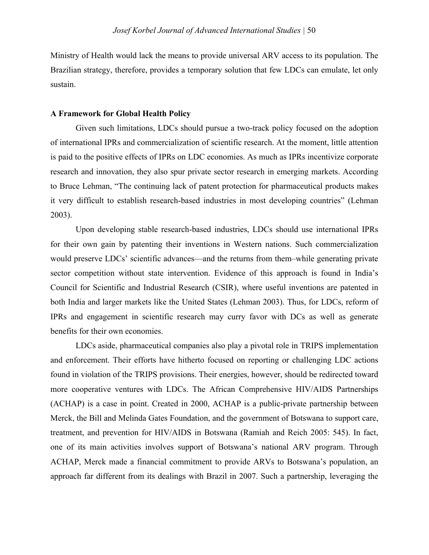Ministry of Health would lack the means to provide universal ARV access to its population. The Brazilian strategy, therefore, provides a temporary solution that few LDCs can emulate, let only sustain.

#### **A Framework for Global Health Policy**

Given such limitations, LDCs should pursue a two-track policy focused on the adoption of international IPRs and commercialization of scientific research. At the moment, little attention is paid to the positive effects of IPRs on LDC economies. As much as IPRs incentivize corporate research and innovation, they also spur private sector research in emerging markets. According to Bruce Lehman, "The continuing lack of patent protection for pharmaceutical products makes it very difficult to establish research-based industries in most developing countries" (Lehman 2003).

Upon developing stable research-based industries, LDCs should use international IPRs for their own gain by patenting their inventions in Western nations. Such commercialization would preserve LDCs' scientific advances—and the returns from them–while generating private sector competition without state intervention. Evidence of this approach is found in India's Council for Scientific and Industrial Research (CSIR), where useful inventions are patented in both India and larger markets like the United States (Lehman 2003). Thus, for LDCs, reform of IPRs and engagement in scientific research may curry favor with DCs as well as generate benefits for their own economies.

LDCs aside, pharmaceutical companies also play a pivotal role in TRIPS implementation and enforcement. Their efforts have hitherto focused on reporting or challenging LDC actions found in violation of the TRIPS provisions. Their energies, however, should be redirected toward more cooperative ventures with LDCs. The African Comprehensive HIV/AIDS Partnerships (ACHAP) is a case in point. Created in 2000, ACHAP is a public-private partnership between Merck, the Bill and Melinda Gates Foundation, and the government of Botswana to support care, treatment, and prevention for HIV/AIDS in Botswana (Ramiah and Reich 2005: 545). In fact, one of its main activities involves support of Botswana's national ARV program. Through ACHAP, Merck made a financial commitment to provide ARVs to Botswana's population, an approach far different from its dealings with Brazil in 2007. Such a partnership, leveraging the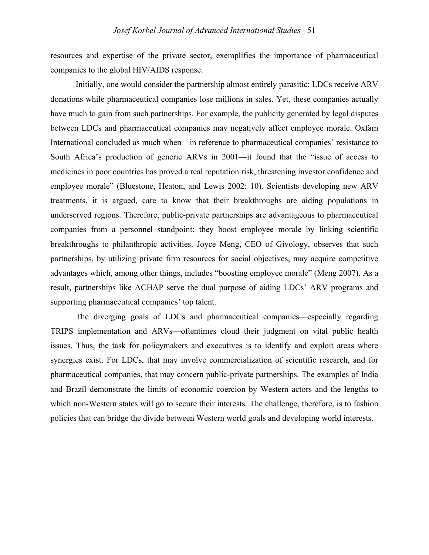resources and expertise of the private sector, exemplifies the importance of pharmaceutical companies to the global HIV/AIDS response.

Initially, one would consider the partnership almost entirely parasitic; LDCs receive ARV donations while pharmaceutical companies lose millions in sales. Yet, these companies actually have much to gain from such partnerships. For example, the publicity generated by legal disputes between LDCs and pharmaceutical companies may negatively affect employee morale. Oxfam International concluded as much when—in reference to pharmaceutical companies' resistance to South Africa's production of generic ARVs in 2001—it found that the "issue of access to medicines in poor countries has proved a real reputation risk, threatening investor confidence and employee morale" (Bluestone, Heaton, and Lewis 2002: 10). Scientists developing new ARV treatments, it is argued, care to know that their breakthroughs are aiding populations in underserved regions. Therefore, public-private partnerships are advantageous to pharmaceutical companies from a personnel standpoint: they boost employee morale by linking scientific breakthroughs to philanthropic activities. Joyce Meng, CEO of Givology, observes that such partnerships, by utilizing private firm resources for social objectives, may acquire competitive advantages which, among other things, includes "boosting employee morale" (Meng 2007). As a result, partnerships like ACHAP serve the dual purpose of aiding LDCs' ARV programs and supporting pharmaceutical companies' top talent.

The diverging goals of LDCs and pharmaceutical companies—especially regarding TRIPS implementation and ARVs—oftentimes cloud their judgment on vital public health issues. Thus, the task for policymakers and executives is to identify and exploit areas where synergies exist. For LDCs, that may involve commercialization of scientific research, and for pharmaceutical companies, that may concern public-private partnerships. The examples of India and Brazil demonstrate the limits of economic coercion by Western actors and the lengths to which non-Western states will go to secure their interests. The challenge, therefore, is to fashion policies that can bridge the divide between Western world goals and developing world interests.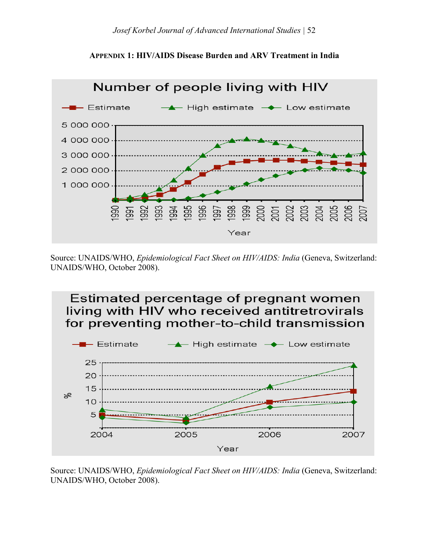



Source: UNAIDS/WHO, *Epidemiological Fact Sheet on HIV/AIDS: India* (Geneva, Switzerland: UNAIDS/WHO, October 2008).



Source: UNAIDS/WHO, *Epidemiological Fact Sheet on HIV/AIDS: India* (Geneva, Switzerland: UNAIDS/WHO, October 2008).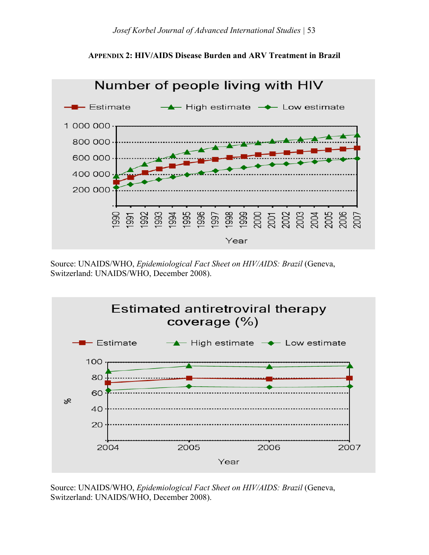



Source: UNAIDS/WHO, *Epidemiological Fact Sheet on HIV/AIDS: Brazil* (Geneva, Switzerland: UNAIDS/WHO, December 2008).



Source: UNAIDS/WHO, *Epidemiological Fact Sheet on HIV/AIDS: Brazil* (Geneva, Switzerland: UNAIDS/WHO, December 2008).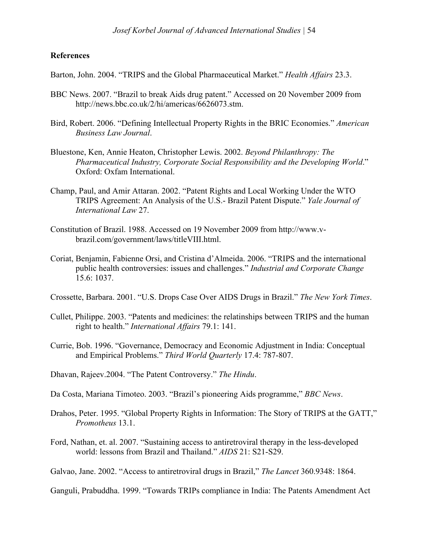#### **References**

Barton, John. 2004. "TRIPS and the Global Pharmaceutical Market." *Health Affairs* 23.3.

- BBC News. 2007. "Brazil to break Aids drug patent." Accessed on 20 November 2009 from http://news.bbc.co.uk/2/hi/americas/6626073.stm.
- Bird, Robert. 2006. "Defining Intellectual Property Rights in the BRIC Economies." *American Business Law Journal*.
- Bluestone, Ken, Annie Heaton, Christopher Lewis. 2002. *Beyond Philanthropy: The Pharmaceutical Industry, Corporate Social Responsibility and the Developing World*." Oxford: Oxfam International.
- Champ, Paul, and Amir Attaran. 2002. "Patent Rights and Local Working Under the WTO TRIPS Agreement: An Analysis of the U.S.- Brazil Patent Dispute." *Yale Journal of International Law* 27.
- Constitution of Brazil. 1988. Accessed on 19 November 2009 from http://www.vbrazil.com/government/laws/titleVIII.html.
- Coriat, Benjamin, Fabienne Orsi, and Cristina d'Almeida. 2006. "TRIPS and the international public health controversies: issues and challenges." *Industrial and Corporate Change* 15.6: 1037.
- Crossette, Barbara. 2001. "U.S. Drops Case Over AIDS Drugs in Brazil." *The New York Times*.
- Cullet, Philippe. 2003. "Patents and medicines: the relatinships between TRIPS and the human right to health." *International Affairs* 79.1: 141.
- Currie, Bob. 1996. "Governance, Democracy and Economic Adjustment in India: Conceptual and Empirical Problems." *Third World Quarterly* 17.4: 787-807.
- Dhavan, Rajeev.2004. "The Patent Controversy." *The Hindu*.
- Da Costa, Mariana Timoteo. 2003. "Brazil's pioneering Aids programme," *BBC News*.
- Drahos, Peter. 1995. "Global Property Rights in Information: The Story of TRIPS at the GATT," *Promotheus* 13.1.
- Ford, Nathan, et. al. 2007. "Sustaining access to antiretroviral therapy in the less-developed world: lessons from Brazil and Thailand." *AIDS* 21: S21-S29.

Galvao, Jane. 2002. "Access to antiretroviral drugs in Brazil," *The Lancet* 360.9348: 1864.

Ganguli, Prabuddha. 1999. "Towards TRIPs compliance in India: The Patents Amendment Act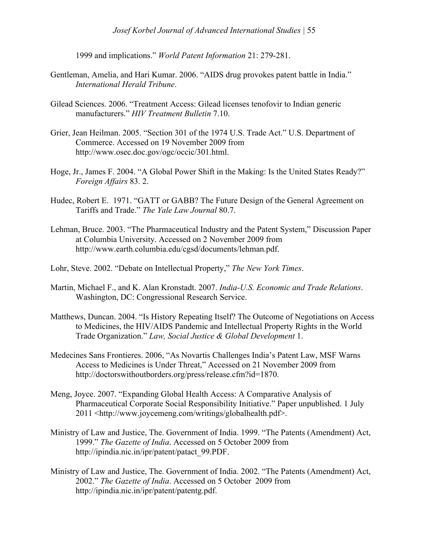1999 and implications." *World Patent Information* 21: 279-281.

- Gentleman, Amelia, and Hari Kumar. 2006. "AIDS drug provokes patent battle in India." *International Herald Tribune*.
- Gilead Sciences. 2006. "Treatment Access: Gilead licenses tenofovir to Indian generic manufacturers." *HIV Treatment Bulletin* 7.10.
- Grier, Jean Heilman. 2005. "Section 301 of the 1974 U.S. Trade Act." U.S. Department of Commerce. Accessed on 19 November 2009 from http://www.osec.doc.gov/ogc/occic/301.html.
- Hoge, Jr., James F. 2004. "A Global Power Shift in the Making: Is the United States Ready?" *Foreign Affairs* 83. 2.
- Hudec, Robert E. 1971. "GATT or GABB? The Future Design of the General Agreement on Tariffs and Trade." *The Yale Law Journal* 80.7.
- Lehman, Bruce. 2003. "The Pharmaceutical Industry and the Patent System," Discussion Paper at Columbia University. Accessed on 2 November 2009 from http://www.earth.columbia.edu/cgsd/documents/lehman.pdf.
- Lohr, Steve. 2002. "Debate on Intellectual Property," *The New York Times*.
- Martin, Michael F., and K. Alan Kronstadt. 2007. *India-U.S. Economic and Trade Relations*. Washington, DC: Congressional Research Service.
- Matthews, Duncan. 2004. "Is History Repeating Itself? The Outcome of Negotiations on Access to Medicines, the HIV/AIDS Pandemic and Intellectual Property Rights in the World Trade Organization." *Law, Social Justice & Global Development* 1.
- Medecines Sans Frontieres. 2006, "As Novartis Challenges India's Patent Law, MSF Warns Access to Medicines is Under Threat," Accessed on 21 November 2009 from http://doctorswithoutborders.org/press/release.cfm?id=1870.
- Meng, Joyce. 2007. "Expanding Global Health Access: A Comparative Analysis of Pharmaceutical Corporate Social Responsibility Initiative." Paper unpublished. 1 July 2011 <http://www.joycemeng.com/writings/globalhealth.pdf>.
- Ministry of Law and Justice, The. Government of India. 1999. "The Patents (Amendment) Act, 1999." *The Gazette of India*. Accessed on 5 October 2009 from http://ipindia.nic.in/ipr/patent/patact\_99.PDF.
- Ministry of Law and Justice, The. Government of India. 2002. "The Patents (Amendment) Act, 2002." *The Gazette of India*. Accessed on 5 October 2009 from http://ipindia.nic.in/ipr/patent/patentg.pdf.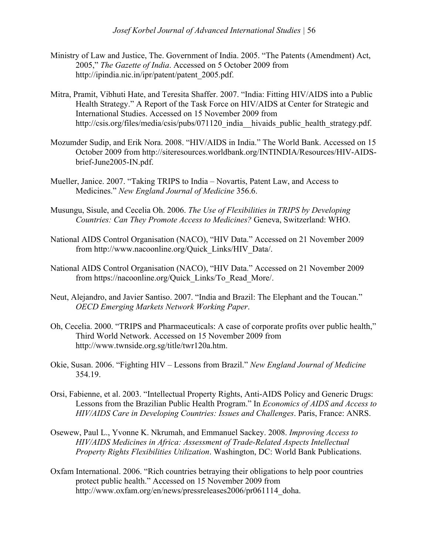- Ministry of Law and Justice, The. Government of India. 2005. "The Patents (Amendment) Act, 2005," *The Gazette of India*. Accessed on 5 October 2009 from http://ipindia.nic.in/ipr/patent/patent\_2005.pdf.
- Mitra, Pramit, Vibhuti Hate, and Teresita Shaffer. 2007. "India: Fitting HIV/AIDS into a Public Health Strategy." A Report of the Task Force on HIV/AIDS at Center for Strategic and International Studies. Accessed on 15 November 2009 from http://csis.org/files/media/csis/pubs/071120 india hivaids public health strategy.pdf.
- Mozumder Sudip, and Erik Nora. 2008. "HIV/AIDS in India." The World Bank. Accessed on 15 October 2009 from http://siteresources.worldbank.org/INTINDIA/Resources/HIV-AIDSbrief-June2005-IN.pdf.
- Mueller, Janice. 2007. "Taking TRIPS to India Novartis, Patent Law, and Access to Medicines." *New England Journal of Medicine* 356.6.
- Musungu, Sisule, and Cecelia Oh. 2006. *The Use of Flexibilities in TRIPS by Developing Countries: Can They Promote Access to Medicines?* Geneva, Switzerland: WHO.
- National AIDS Control Organisation (NACO), "HIV Data." Accessed on 21 November 2009 from http://www.nacoonline.org/Quick\_Links/HIV\_Data/.
- National AIDS Control Organisation (NACO), "HIV Data." Accessed on 21 November 2009 from https://nacoonline.org/Quick\_Links/To\_Read\_More/.
- Neut, Alejandro, and Javier Santiso. 2007. "India and Brazil: The Elephant and the Toucan." *OECD Emerging Markets Network Working Paper*.
- Oh, Cecelia. 2000. "TRIPS and Pharmaceuticals: A case of corporate profits over public health," Third World Network. Accessed on 15 November 2009 from http://www.twnside.org.sg/title/twr120a.htm.
- Okie, Susan. 2006. "Fighting HIV Lessons from Brazil." *New England Journal of Medicine* 354.19.
- Orsi, Fabienne, et al. 2003. "Intellectual Property Rights, Anti-AIDS Policy and Generic Drugs: Lessons from the Brazilian Public Health Program." In *Economics of AIDS and Access to HIV/AIDS Care in Developing Countries: Issues and Challenges*. Paris, France: ANRS.
- Osewew, Paul L., Yvonne K. Nkrumah, and Emmanuel Sackey. 2008. *Improving Access to HIV/AIDS Medicines in Africa: Assessment of Trade-Related Aspects Intellectual Property Rights Flexibilities Utilization*. Washington, DC: World Bank Publications.
- Oxfam International. 2006. "Rich countries betraying their obligations to help poor countries protect public health." Accessed on 15 November 2009 from http://www.oxfam.org/en/news/pressreleases2006/pr061114\_doha.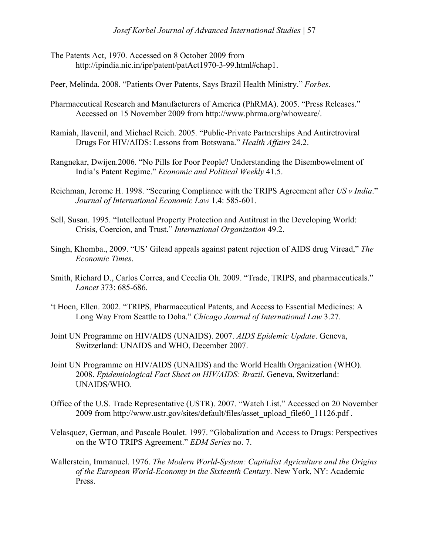- The Patents Act, 1970. Accessed on 8 October 2009 from http://ipindia.nic.in/ipr/patent/patAct1970-3-99.html#chap1.
- Peer, Melinda. 2008. "Patients Over Patents, Says Brazil Health Ministry." *Forbes*.
- Pharmaceutical Research and Manufacturers of America (PhRMA). 2005. "Press Releases." Accessed on 15 November 2009 from http://www.phrma.org/whoweare/.
- Ramiah, Ilavenil, and Michael Reich. 2005. "Public-Private Partnerships And Antiretroviral Drugs For HIV/AIDS: Lessons from Botswana." *Health Affairs* 24.2.
- Rangnekar, Dwijen.2006. "No Pills for Poor People? Understanding the Disembowelment of India's Patent Regime." *Economic and Political Weekly* 41.5.
- Reichman, Jerome H. 1998. "Securing Compliance with the TRIPS Agreement after *US v India*." *Journal of International Economic Law* 1.4: 585-601.
- Sell, Susan. 1995. "Intellectual Property Protection and Antitrust in the Developing World: Crisis, Coercion, and Trust." *International Organization* 49.2.
- Singh, Khomba., 2009. "US' Gilead appeals against patent rejection of AIDS drug Viread," *The Economic Times*.
- Smith, Richard D., Carlos Correa, and Cecelia Oh. 2009. "Trade, TRIPS, and pharmaceuticals." *Lancet* 373: 685-686.
- 't Hoen, Ellen. 2002. "TRIPS, Pharmaceutical Patents, and Access to Essential Medicines: A Long Way From Seattle to Doha." *Chicago Journal of International Law* 3.27.
- Joint UN Programme on HIV/AIDS (UNAIDS). 2007. *AIDS Epidemic Update*. Geneva, Switzerland: UNAIDS and WHO, December 2007.
- Joint UN Programme on HIV/AIDS (UNAIDS) and the World Health Organization (WHO). 2008. *Epidemiological Fact Sheet on HIV/AIDS: Brazil*. Geneva, Switzerland: UNAIDS/WHO.
- Office of the U.S. Trade Representative (USTR). 2007. "Watch List." Accessed on 20 November 2009 from http://www.ustr.gov/sites/default/files/asset\_upload\_file60\_11126.pdf .
- Velasquez, German, and Pascale Boulet. 1997. "Globalization and Access to Drugs: Perspectives on the WTO TRIPS Agreement." *EDM Series* no. 7.
- Wallerstein, Immanuel. 1976. *The Modern World-System: Capitalist Agriculture and the Origins of the European World-Economy in the Sixteenth Century*. New York, NY: Academic Press.